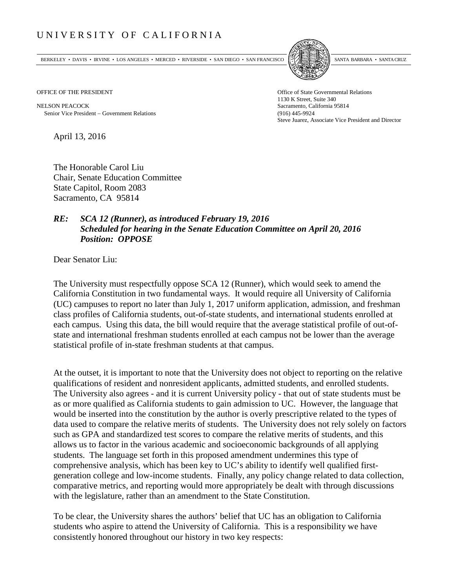## UNIVERSITY OF CALIFORNIA

BERKELEY • DAVIS • IRVINE • LOS ANGELES • MERCED • RIVERSIDE • SAN DIEGO • SAN FRANCISCO [5] SANTA BARBARA • SANTA CRUZ



1130 K Street, Suite 340 Steve Juarez, Associate Vice President and Director

OFFICE OF THE PRESIDENT STATES OF THE PRESIDENT

NELSON PEACOCK Sacramento, California 95814 Senior Vice President − Government Relations (916) 445-9924

April 13, 2016

The Honorable Carol Liu Chair, Senate Education Committee State Capitol, Room 2083 Sacramento, CA 95814

## *RE: SCA 12 (Runner), as introduced February 19, 2016 Scheduled for hearing in the Senate Education Committee on April 20, 2016 Position: OPPOSE*

Dear Senator Liu:

The University must respectfully oppose SCA 12 (Runner), which would seek to amend the California Constitution in two fundamental ways. It would require all University of California (UC) campuses to report no later than July 1, 2017 uniform application, admission, and freshman class profiles of California students, out-of-state students, and international students enrolled at each campus. Using this data, the bill would require that the average statistical profile of out-ofstate and international freshman students enrolled at each campus not be lower than the average statistical profile of in-state freshman students at that campus.

At the outset, it is important to note that the University does not object to reporting on the relative qualifications of resident and nonresident applicants, admitted students, and enrolled students. The University also agrees - and it is current University policy - that out of state students must be as or more qualified as California students to gain admission to UC. However, the language that would be inserted into the constitution by the author is overly prescriptive related to the types of data used to compare the relative merits of students. The University does not rely solely on factors such as GPA and standardized test scores to compare the relative merits of students, and this allows us to factor in the various academic and socioeconomic backgrounds of all applying students. The language set forth in this proposed amendment undermines this type of comprehensive analysis, which has been key to UC's ability to identify well qualified firstgeneration college and low-income students. Finally, any policy change related to data collection, comparative metrics, and reporting would more appropriately be dealt with through discussions with the legislature, rather than an amendment to the State Constitution.

To be clear, the University shares the authors' belief that UC has an obligation to California students who aspire to attend the University of California. This is a responsibility we have consistently honored throughout our history in two key respects: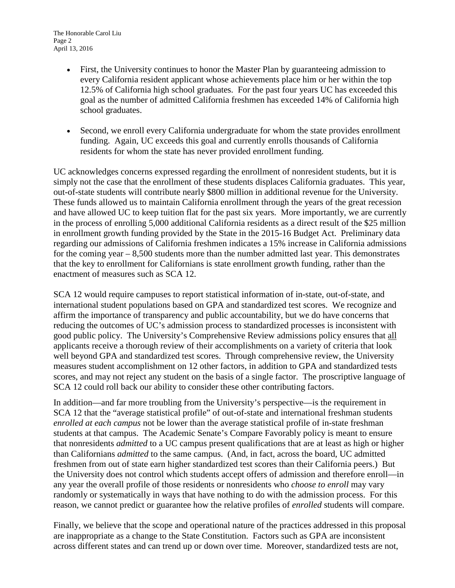- First, the University continues to honor the Master Plan by guaranteeing admission to every California resident applicant whose achievements place him or her within the top 12.5% of California high school graduates. For the past four years UC has exceeded this goal as the number of admitted California freshmen has exceeded 14% of California high school graduates.
- Second, we enroll every California undergraduate for whom the state provides enrollment funding. Again, UC exceeds this goal and currently enrolls thousands of California residents for whom the state has never provided enrollment funding.

UC acknowledges concerns expressed regarding the enrollment of nonresident students, but it is simply not the case that the enrollment of these students displaces California graduates. This year, out-of-state students will contribute nearly \$800 million in additional revenue for the University. These funds allowed us to maintain California enrollment through the years of the great recession and have allowed UC to keep tuition flat for the past six years. More importantly, we are currently in the process of enrolling 5,000 additional California residents as a direct result of the \$25 million in enrollment growth funding provided by the State in the 2015-16 Budget Act. Preliminary data regarding our admissions of California freshmen indicates a 15% increase in California admissions for the coming year  $-8,500$  students more than the number admitted last year. This demonstrates that the key to enrollment for Californians is state enrollment growth funding, rather than the enactment of measures such as SCA 12.

SCA 12 would require campuses to report statistical information of in-state, out-of-state, and international student populations based on GPA and standardized test scores. We recognize and affirm the importance of transparency and public accountability, but we do have concerns that reducing the outcomes of UC's admission process to standardized processes is inconsistent with good public policy. The University's Comprehensive Review admissions policy ensures that all applicants receive a thorough review of their accomplishments on a variety of criteria that look well beyond GPA and standardized test scores. Through comprehensive review, the University measures student accomplishment on 12 other factors, in addition to GPA and standardized tests scores, and may not reject any student on the basis of a single factor. The proscriptive language of SCA 12 could roll back our ability to consider these other contributing factors.

In addition—and far more troubling from the University's perspective—is the requirement in SCA 12 that the "average statistical profile" of out-of-state and international freshman students *enrolled at each campus* not be lower than the average statistical profile of in-state freshman students at that campus. The Academic Senate's Compare Favorably policy is meant to ensure that nonresidents *admitted* to a UC campus present qualifications that are at least as high or higher than Californians *admitted* to the same campus. (And, in fact, across the board, UC admitted freshmen from out of state earn higher standardized test scores than their California peers.) But the University does not control which students accept offers of admission and therefore enroll—in any year the overall profile of those residents or nonresidents who *choose to enroll* may vary randomly or systematically in ways that have nothing to do with the admission process. For this reason, we cannot predict or guarantee how the relative profiles of *enrolled* students will compare.

Finally, we believe that the scope and operational nature of the practices addressed in this proposal are inappropriate as a change to the State Constitution. Factors such as GPA are inconsistent across different states and can trend up or down over time. Moreover, standardized tests are not,